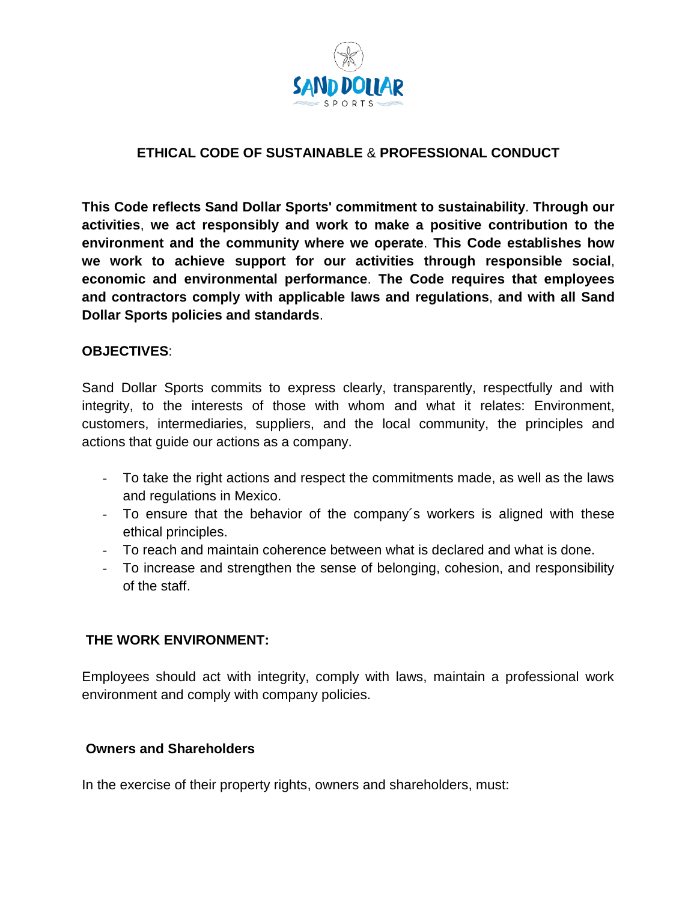

## **ETHICAL CODE OF SUSTAINABLE** & **PROFESSIONAL CONDUCT**

**This Code reflects Sand Dollar Sports' commitment to sustainability**. **Through our activities**, **we act responsibly and work to make a positive contribution to the environment and the community where we operate**. **This Code establishes how we work to achieve support for our activities through responsible social**, **economic and environmental performance**. **The Code requires that employees and contractors comply with applicable laws and regulations**, **and with all Sand Dollar Sports policies and standards**.

#### **OBJECTIVES**:

Sand Dollar Sports commits to express clearly, transparently, respectfully and with integrity, to the interests of those with whom and what it relates: Environment, customers, intermediaries, suppliers, and the local community, the principles and actions that guide our actions as a company.

- To take the right actions and respect the commitments made, as well as the laws and regulations in Mexico.
- To ensure that the behavior of the company´s workers is aligned with these ethical principles.
- To reach and maintain coherence between what is declared and what is done.
- To increase and strengthen the sense of belonging, cohesion, and responsibility of the staff.

### **THE WORK ENVIRONMENT:**

Employees should act with integrity, comply with laws, maintain a professional work environment and comply with company policies.

### **Owners and Shareholders**

In the exercise of their property rights, owners and shareholders, must: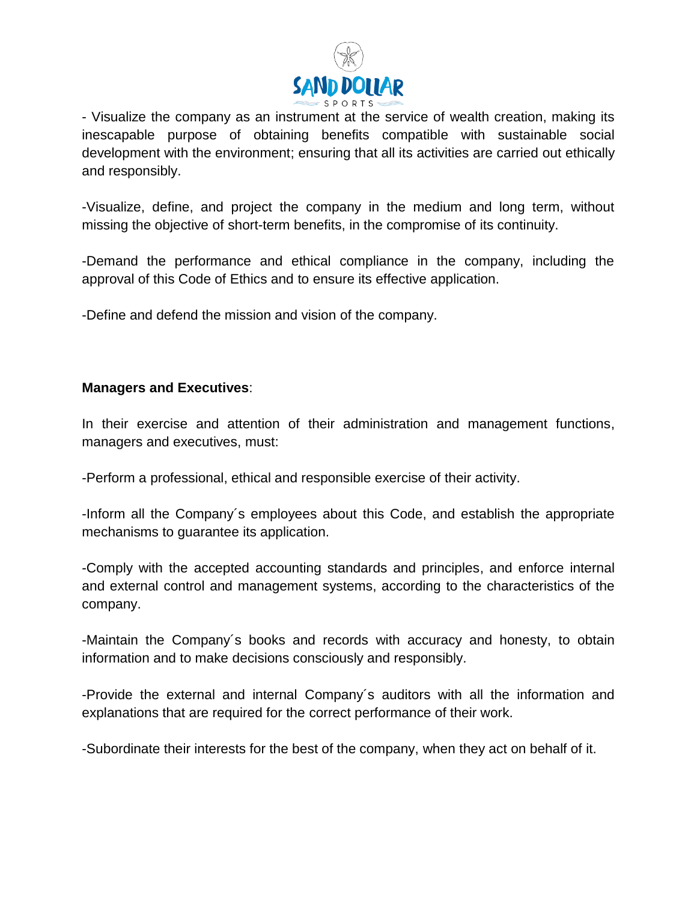

- Visualize the company as an instrument at the service of wealth creation, making its inescapable purpose of obtaining benefits compatible with sustainable social development with the environment; ensuring that all its activities are carried out ethically and responsibly.

-Visualize, define, and project the company in the medium and long term, without missing the objective of short-term benefits, in the compromise of its continuity.

-Demand the performance and ethical compliance in the company, including the approval of this Code of Ethics and to ensure its effective application.

-Define and defend the mission and vision of the company.

## **Managers and Executives**:

In their exercise and attention of their administration and management functions, managers and executives, must:

-Perform a professional, ethical and responsible exercise of their activity.

-Inform all the Company´s employees about this Code, and establish the appropriate mechanisms to guarantee its application.

-Comply with the accepted accounting standards and principles, and enforce internal and external control and management systems, according to the characteristics of the company.

-Maintain the Company´s books and records with accuracy and honesty, to obtain information and to make decisions consciously and responsibly.

-Provide the external and internal Company´s auditors with all the information and explanations that are required for the correct performance of their work.

-Subordinate their interests for the best of the company, when they act on behalf of it.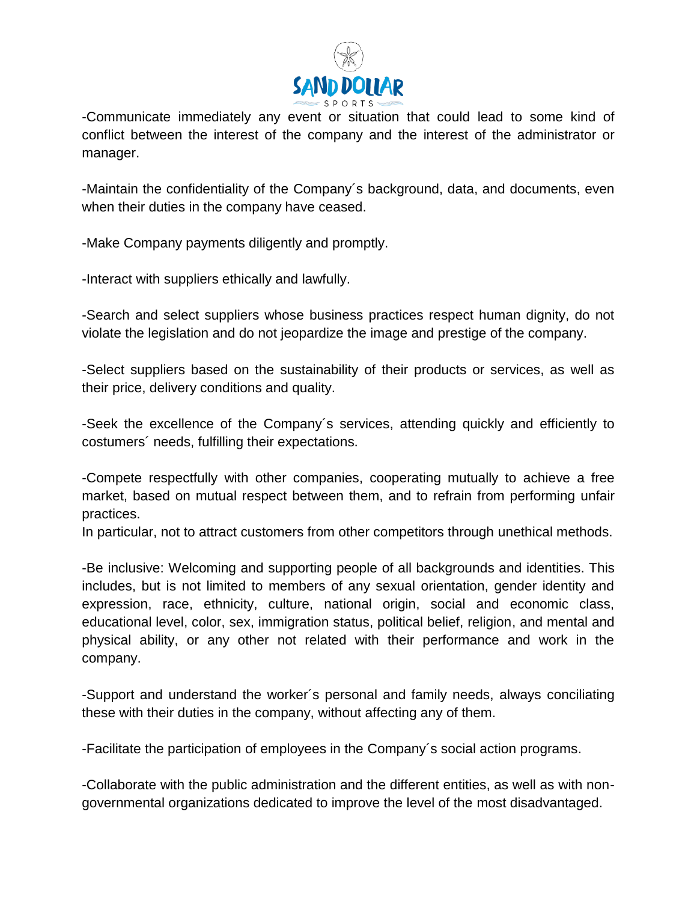

-Communicate immediately any event or situation that could lead to some kind of conflict between the interest of the company and the interest of the administrator or manager.

-Maintain the confidentiality of the Company´s background, data, and documents, even when their duties in the company have ceased.

-Make Company payments diligently and promptly.

-Interact with suppliers ethically and lawfully.

-Search and select suppliers whose business practices respect human dignity, do not violate the legislation and do not jeopardize the image and prestige of the company.

-Select suppliers based on the sustainability of their products or services, as well as their price, delivery conditions and quality.

-Seek the excellence of the Company´s services, attending quickly and efficiently to costumers´ needs, fulfilling their expectations.

-Compete respectfully with other companies, cooperating mutually to achieve a free market, based on mutual respect between them, and to refrain from performing unfair practices.

In particular, not to attract customers from other competitors through unethical methods.

-Be inclusive: Welcoming and supporting people of all backgrounds and identities. This includes, but is not limited to members of any sexual orientation, gender identity and expression, race, ethnicity, culture, national origin, social and economic class, educational level, color, sex, immigration status, political belief, religion, and mental and physical ability, or any other not related with their performance and work in the company.

-Support and understand the worker´s personal and family needs, always conciliating these with their duties in the company, without affecting any of them.

-Facilitate the participation of employees in the Company´s social action programs.

-Collaborate with the public administration and the different entities, as well as with nongovernmental organizations dedicated to improve the level of the most disadvantaged.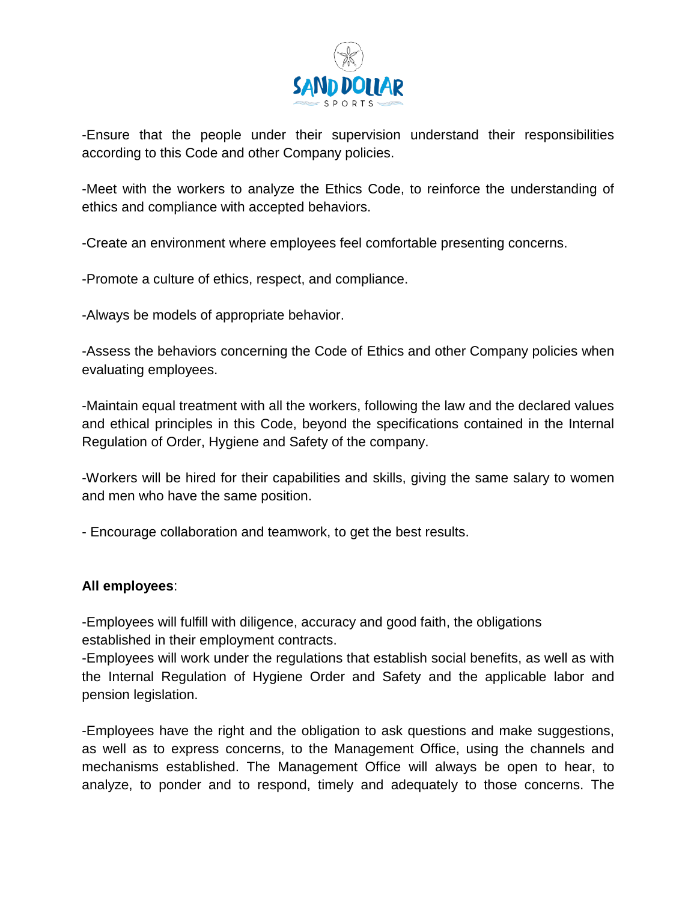

-Ensure that the people under their supervision understand their responsibilities according to this Code and other Company policies.

-Meet with the workers to analyze the Ethics Code, to reinforce the understanding of ethics and compliance with accepted behaviors.

-Create an environment where employees feel comfortable presenting concerns.

-Promote a culture of ethics, respect, and compliance.

-Always be models of appropriate behavior.

-Assess the behaviors concerning the Code of Ethics and other Company policies when evaluating employees.

-Maintain equal treatment with all the workers, following the law and the declared values and ethical principles in this Code, beyond the specifications contained in the Internal Regulation of Order, Hygiene and Safety of the company.

-Workers will be hired for their capabilities and skills, giving the same salary to women and men who have the same position.

- Encourage collaboration and teamwork, to get the best results.

### **All employees**:

-Employees will fulfill with diligence, accuracy and good faith, the obligations established in their employment contracts.

-Employees will work under the regulations that establish social benefits, as well as with the Internal Regulation of Hygiene Order and Safety and the applicable labor and pension legislation.

-Employees have the right and the obligation to ask questions and make suggestions, as well as to express concerns, to the Management Office, using the channels and mechanisms established. The Management Office will always be open to hear, to analyze, to ponder and to respond, timely and adequately to those concerns. The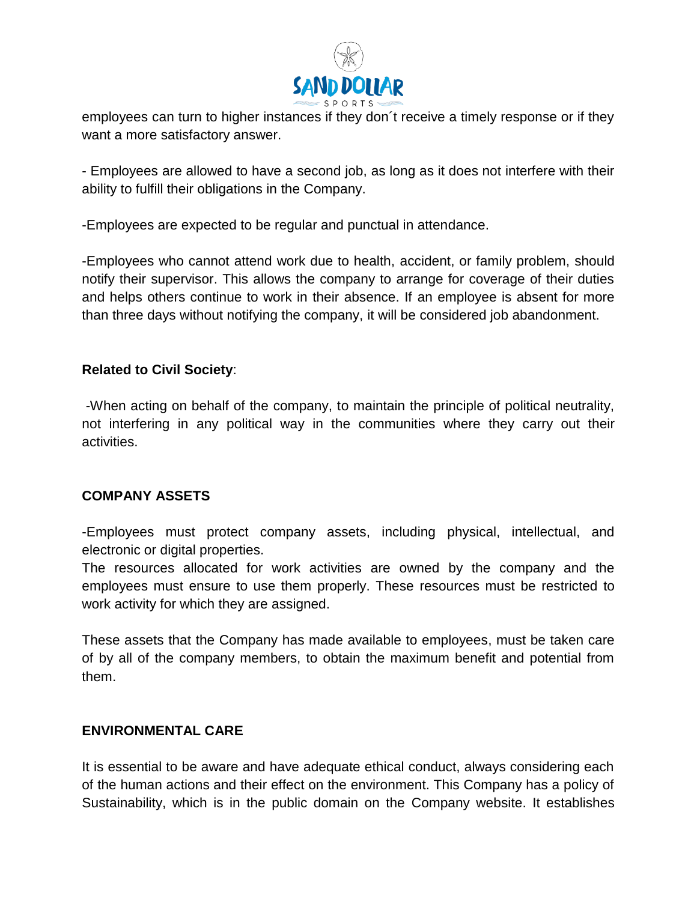

employees can turn to higher instances if they don´t receive a timely response or if they want a more satisfactory answer.

- Employees are allowed to have a second job, as long as it does not interfere with their ability to fulfill their obligations in the Company.

-Employees are expected to be regular and punctual in attendance.

-Employees who cannot attend work due to health, accident, or family problem, should notify their supervisor. This allows the company to arrange for coverage of their duties and helps others continue to work in their absence. If an employee is absent for more than three days without notifying the company, it will be considered job abandonment.

### **Related to Civil Society**:

-When acting on behalf of the company, to maintain the principle of political neutrality, not interfering in any political way in the communities where they carry out their activities.

### **COMPANY ASSETS**

-Employees must protect company assets, including physical, intellectual, and electronic or digital properties.

The resources allocated for work activities are owned by the company and the employees must ensure to use them properly. These resources must be restricted to work activity for which they are assigned.

These assets that the Company has made available to employees, must be taken care of by all of the company members, to obtain the maximum benefit and potential from them.

### **ENVIRONMENTAL CARE**

It is essential to be aware and have adequate ethical conduct, always considering each of the human actions and their effect on the environment. This Company has a policy of Sustainability, which is in the public domain on the Company website. It establishes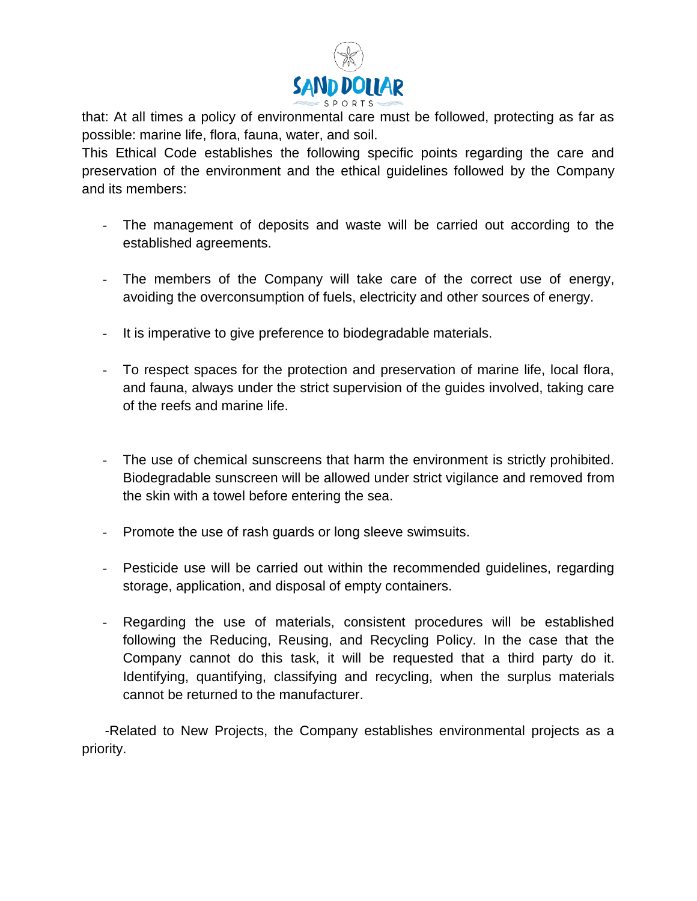

that: At all times a policy of environmental care must be followed, protecting as far as possible: marine life, flora, fauna, water, and soil.

This Ethical Code establishes the following specific points regarding the care and preservation of the environment and the ethical guidelines followed by the Company and its members:

- The management of deposits and waste will be carried out according to the established agreements.
- The members of the Company will take care of the correct use of energy, avoiding the overconsumption of fuels, electricity and other sources of energy.
- It is imperative to give preference to biodegradable materials.
- To respect spaces for the protection and preservation of marine life, local flora, and fauna, always under the strict supervision of the guides involved, taking care of the reefs and marine life.
- The use of chemical sunscreens that harm the environment is strictly prohibited. Biodegradable sunscreen will be allowed under strict vigilance and removed from the skin with a towel before entering the sea.
- Promote the use of rash guards or long sleeve swimsuits.
- Pesticide use will be carried out within the recommended guidelines, regarding storage, application, and disposal of empty containers.
- Regarding the use of materials, consistent procedures will be established following the Reducing, Reusing, and Recycling Policy. In the case that the Company cannot do this task, it will be requested that a third party do it. Identifying, quantifying, classifying and recycling, when the surplus materials cannot be returned to the manufacturer.

 -Related to New Projects, the Company establishes environmental projects as a priority.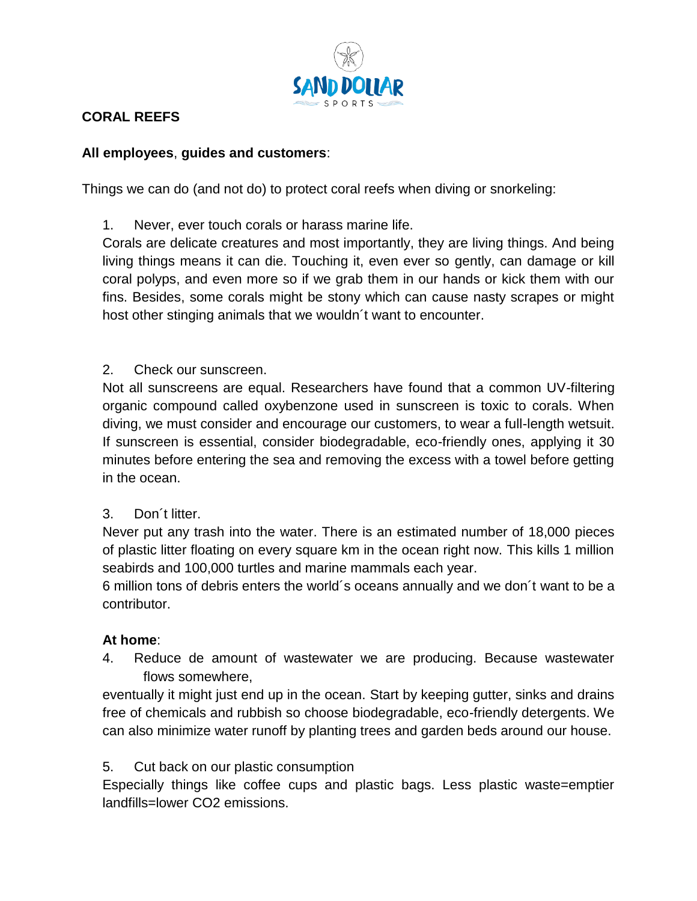

# **CORAL REEFS**

## **All employees**, **guides and customers**:

Things we can do (and not do) to protect coral reefs when diving or snorkeling:

1. Never, ever touch corals or harass marine life.

Corals are delicate creatures and most importantly, they are living things. And being living things means it can die. Touching it, even ever so gently, can damage or kill coral polyps, and even more so if we grab them in our hands or kick them with our fins. Besides, some corals might be stony which can cause nasty scrapes or might host other stinging animals that we wouldn´t want to encounter.

2. Check our sunscreen.

Not all sunscreens are equal. Researchers have found that a common UV-filtering organic compound called oxybenzone used in sunscreen is toxic to corals. When diving, we must consider and encourage our customers, to wear a full-length wetsuit. If sunscreen is essential, consider biodegradable, eco-friendly ones, applying it 30 minutes before entering the sea and removing the excess with a towel before getting in the ocean.

## 3. Don´t litter.

Never put any trash into the water. There is an estimated number of 18,000 pieces of plastic litter floating on every square km in the ocean right now. This kills 1 million seabirds and 100,000 turtles and marine mammals each year.

6 million tons of debris enters the world´s oceans annually and we don´t want to be a contributor.

# **At home**:

4. Reduce de amount of wastewater we are producing. Because wastewater flows somewhere,

eventually it might just end up in the ocean. Start by keeping gutter, sinks and drains free of chemicals and rubbish so choose biodegradable, eco-friendly detergents. We can also minimize water runoff by planting trees and garden beds around our house.

5. Cut back on our plastic consumption

Especially things like coffee cups and plastic bags. Less plastic waste=emptier landfills=lower CO2 emissions.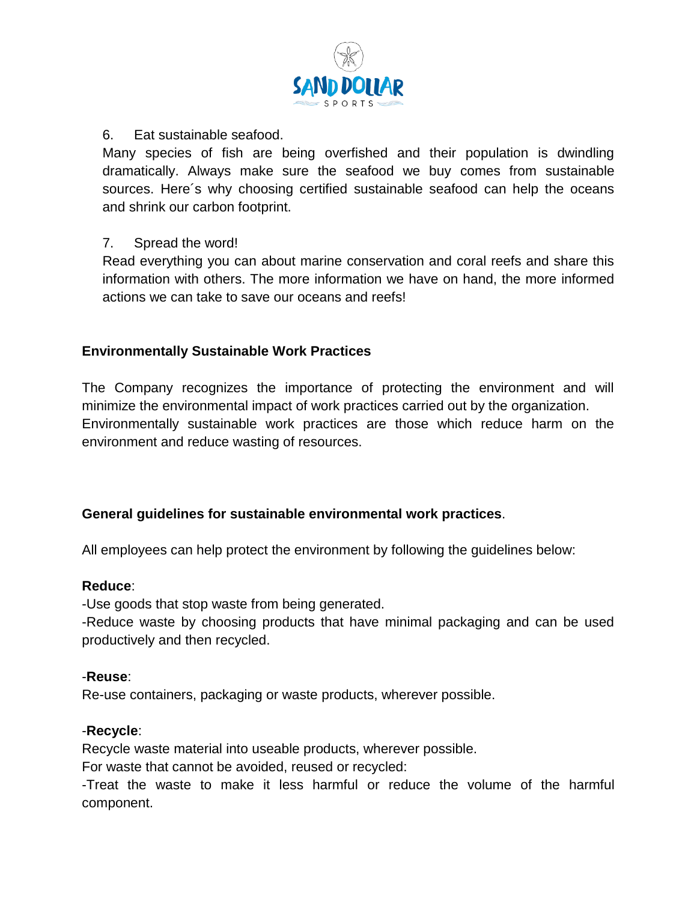

## 6. Eat sustainable seafood.

Many species of fish are being overfished and their population is dwindling dramatically. Always make sure the seafood we buy comes from sustainable sources. Here´s why choosing certified sustainable seafood can help the oceans and shrink our carbon footprint.

### 7. Spread the word!

Read everything you can about marine conservation and coral reefs and share this information with others. The more information we have on hand, the more informed actions we can take to save our oceans and reefs!

## **Environmentally Sustainable Work Practices**

The Company recognizes the importance of protecting the environment and will minimize the environmental impact of work practices carried out by the organization. Environmentally sustainable work practices are those which reduce harm on the environment and reduce wasting of resources.

## **General guidelines for sustainable environmental work practices**.

All employees can help protect the environment by following the guidelines below:

### **Reduce**:

-Use goods that stop waste from being generated.

-Reduce waste by choosing products that have minimal packaging and can be used productively and then recycled.

### -**Reuse**:

Re-use containers, packaging or waste products, wherever possible.

### -**Recycle**:

Recycle waste material into useable products, wherever possible.

For waste that cannot be avoided, reused or recycled:

-Treat the waste to make it less harmful or reduce the volume of the harmful component.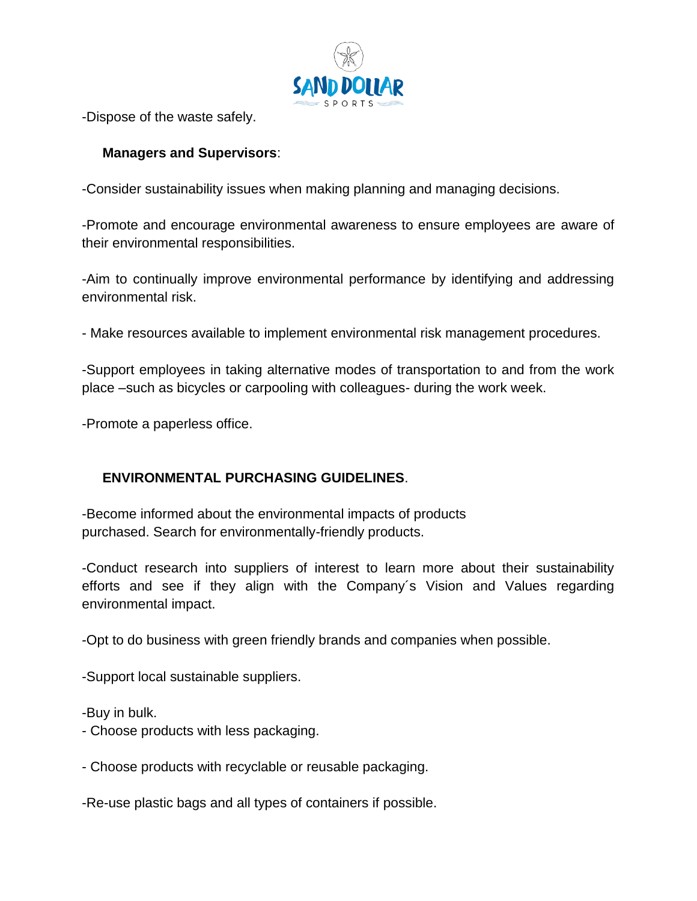

-Dispose of the waste safely.

# **Managers and Supervisors**:

-Consider sustainability issues when making planning and managing decisions.

-Promote and encourage environmental awareness to ensure employees are aware of their environmental responsibilities.

-Aim to continually improve environmental performance by identifying and addressing environmental risk.

- Make resources available to implement environmental risk management procedures.

-Support employees in taking alternative modes of transportation to and from the work place –such as bicycles or carpooling with colleagues- during the work week.

-Promote a paperless office.

# **ENVIRONMENTAL PURCHASING GUIDELINES**.

-Become informed about the environmental impacts of products purchased. Search for environmentally-friendly products.

-Conduct research into suppliers of interest to learn more about their sustainability efforts and see if they align with the Company´s Vision and Values regarding environmental impact.

-Opt to do business with green friendly brands and companies when possible.

-Support local sustainable suppliers.

-Buy in bulk.

- Choose products with less packaging.

- Choose products with recyclable or reusable packaging.

-Re-use plastic bags and all types of containers if possible.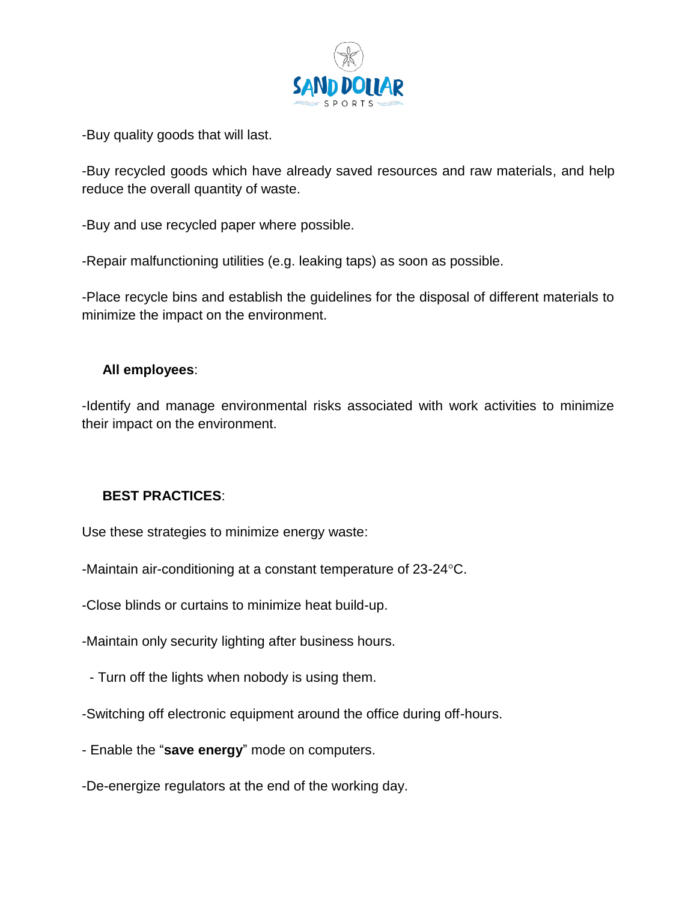

-Buy quality goods that will last.

-Buy recycled goods which have already saved resources and raw materials, and help reduce the overall quantity of waste.

-Buy and use recycled paper where possible.

-Repair malfunctioning utilities (e.g. leaking taps) as soon as possible.

-Place recycle bins and establish the guidelines for the disposal of different materials to minimize the impact on the environment.

### **All employees**:

-Identify and manage environmental risks associated with work activities to minimize their impact on the environment.

## **BEST PRACTICES**:

Use these strategies to minimize energy waste:

-Maintain air-conditioning at a constant temperature of 23-24 °C.

-Close blinds or curtains to minimize heat build-up.

-Maintain only security lighting after business hours.

- Turn off the lights when nobody is using them.
- -Switching off electronic equipment around the office during off-hours.
- Enable the "**save energy**" mode on computers.
- -De-energize regulators at the end of the working day.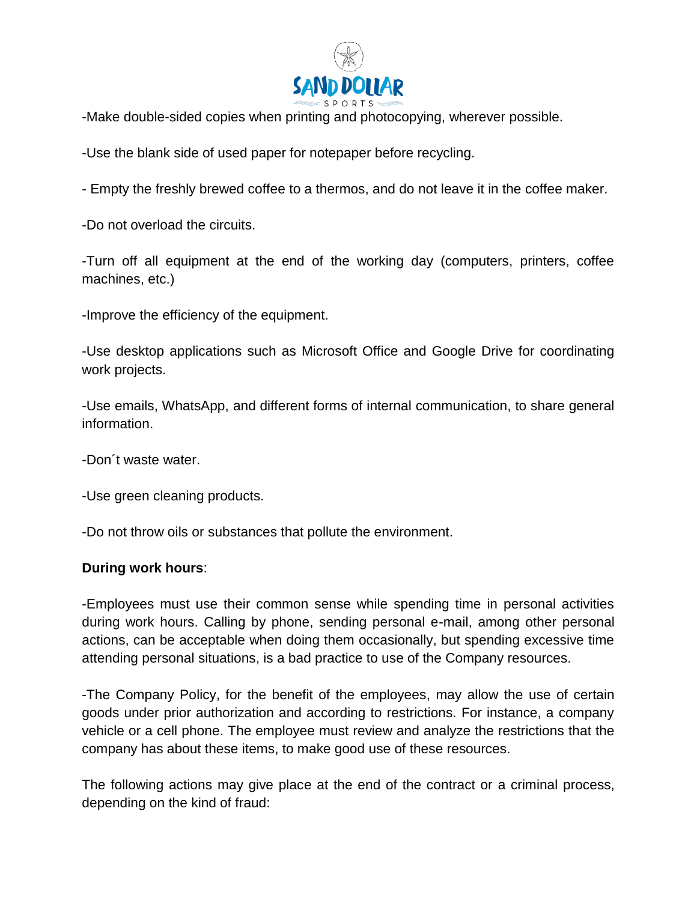

-Make double-sided copies when printing and photocopying, wherever possible.

-Use the blank side of used paper for notepaper before recycling.

- Empty the freshly brewed coffee to a thermos, and do not leave it in the coffee maker.

-Do not overload the circuits.

-Turn off all equipment at the end of the working day (computers, printers, coffee machines, etc.)

-Improve the efficiency of the equipment.

-Use desktop applications such as Microsoft Office and Google Drive for coordinating work projects.

-Use emails, WhatsApp, and different forms of internal communication, to share general information.

-Don´t waste water.

-Use green cleaning products.

-Do not throw oils or substances that pollute the environment.

### **During work hours**:

-Employees must use their common sense while spending time in personal activities during work hours. Calling by phone, sending personal e-mail, among other personal actions, can be acceptable when doing them occasionally, but spending excessive time attending personal situations, is a bad practice to use of the Company resources.

-The Company Policy, for the benefit of the employees, may allow the use of certain goods under prior authorization and according to restrictions. For instance, a company vehicle or a cell phone. The employee must review and analyze the restrictions that the company has about these items, to make good use of these resources.

The following actions may give place at the end of the contract or a criminal process, depending on the kind of fraud: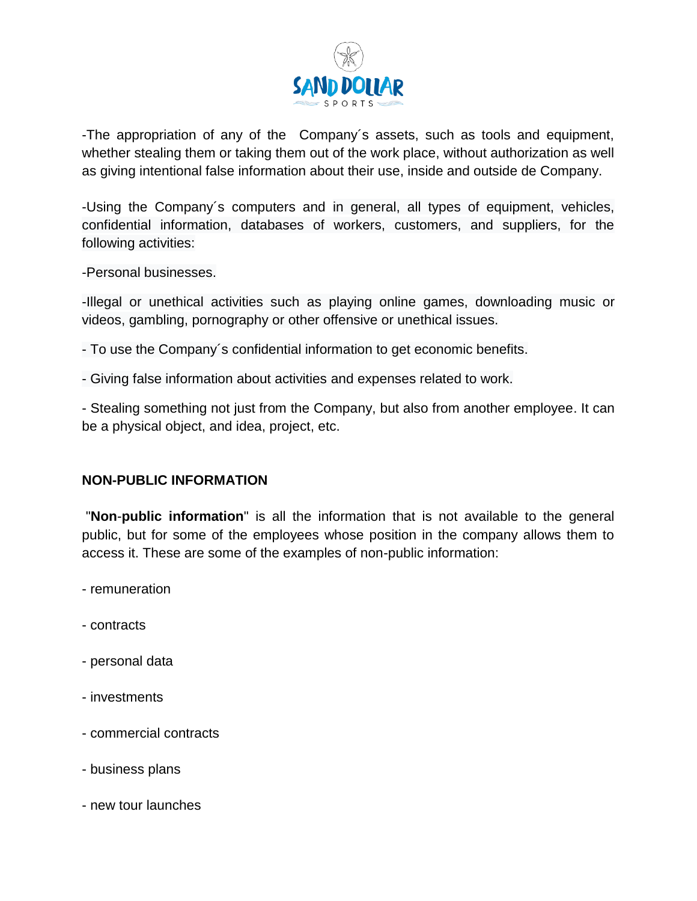

-The appropriation of any of the Company´s assets, such as tools and equipment, whether stealing them or taking them out of the work place, without authorization as well as giving intentional false information about their use, inside and outside de Company.

-Using the Company´s computers and in general, all types of equipment, vehicles, confidential information, databases of workers, customers, and suppliers, for the following activities:

-Personal businesses.

-Illegal or unethical activities such as playing online games, downloading music or videos, gambling, pornography or other offensive or unethical issues.

- To use the Company´s confidential information to get economic benefits.

- Giving false information about activities and expenses related to work.

- Stealing something not just from the Company, but also from another employee. It can be a physical object, and idea, project, etc.

### **NON-PUBLIC INFORMATION**

"**Non**-**public information**" is all the information that is not available to the general public, but for some of the employees whose position in the company allows them to access it. These are some of the examples of non-public information:

- remuneration
- contracts
- personal data
- investments
- commercial contracts
- business plans
- new tour launches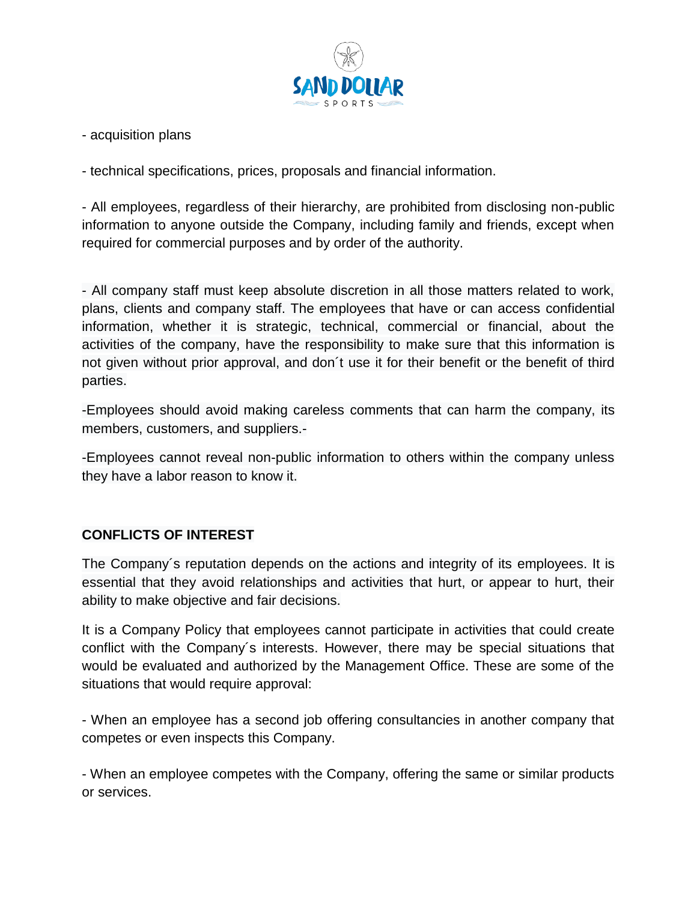

- acquisition plans

- technical specifications, prices, proposals and financial information.

- All employees, regardless of their hierarchy, are prohibited from disclosing non-public information to anyone outside the Company, including family and friends, except when required for commercial purposes and by order of the authority.

- All company staff must keep absolute discretion in all those matters related to work, plans, clients and company staff. The employees that have or can access confidential information, whether it is strategic, technical, commercial or financial, about the activities of the company, have the responsibility to make sure that this information is not given without prior approval, and don´t use it for their benefit or the benefit of third parties.

-Employees should avoid making careless comments that can harm the company, its members, customers, and suppliers.-

-Employees cannot reveal non-public information to others within the company unless they have a labor reason to know it.

## **CONFLICTS OF INTEREST**

The Company´s reputation depends on the actions and integrity of its employees. It is essential that they avoid relationships and activities that hurt, or appear to hurt, their ability to make objective and fair decisions.

It is a Company Policy that employees cannot participate in activities that could create conflict with the Company´s interests. However, there may be special situations that would be evaluated and authorized by the Management Office. These are some of the situations that would require approval:

- When an employee has a second job offering consultancies in another company that competes or even inspects this Company.

- When an employee competes with the Company, offering the same or similar products or services.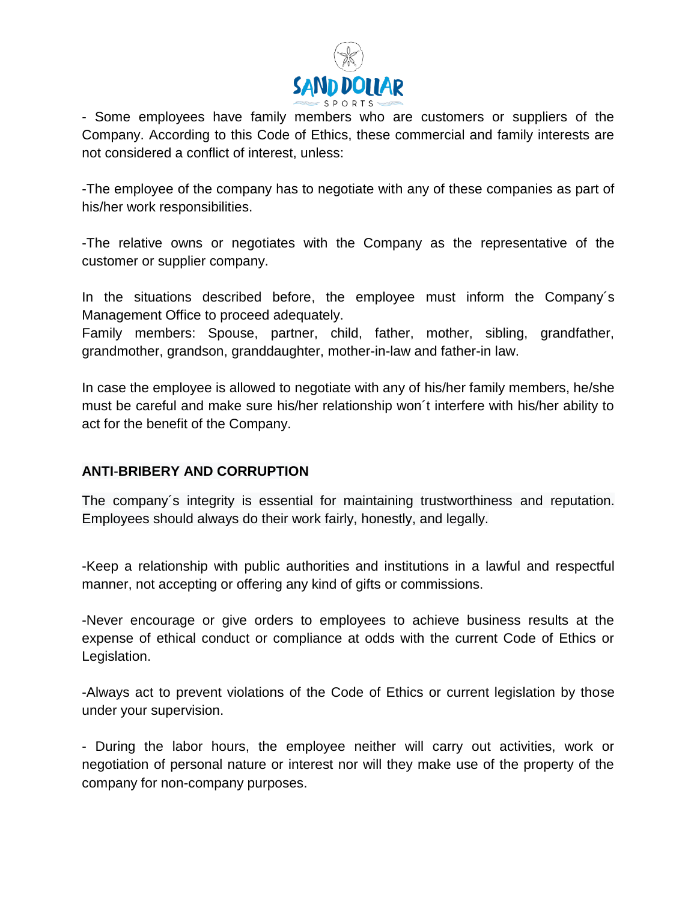

- Some employees have family members who are customers or suppliers of the Company. According to this Code of Ethics, these commercial and family interests are not considered a conflict of interest, unless:

-The employee of the company has to negotiate with any of these companies as part of his/her work responsibilities.

-The relative owns or negotiates with the Company as the representative of the customer or supplier company.

In the situations described before, the employee must inform the Company´s Management Office to proceed adequately.

Family members: Spouse, partner, child, father, mother, sibling, grandfather, grandmother, grandson, granddaughter, mother-in-law and father-in law.

In case the employee is allowed to negotiate with any of his/her family members, he/she must be careful and make sure his/her relationship won´t interfere with his/her ability to act for the benefit of the Company.

## **ANTI**-**BRIBERY AND CORRUPTION**

The company´s integrity is essential for maintaining trustworthiness and reputation. Employees should always do their work fairly, honestly, and legally.

-Keep a relationship with public authorities and institutions in a lawful and respectful manner, not accepting or offering any kind of gifts or commissions.

-Never encourage or give orders to employees to achieve business results at the expense of ethical conduct or compliance at odds with the current Code of Ethics or Legislation.

-Always act to prevent violations of the Code of Ethics or current legislation by those under your supervision.

- During the labor hours, the employee neither will carry out activities, work or negotiation of personal nature or interest nor will they make use of the property of the company for non-company purposes.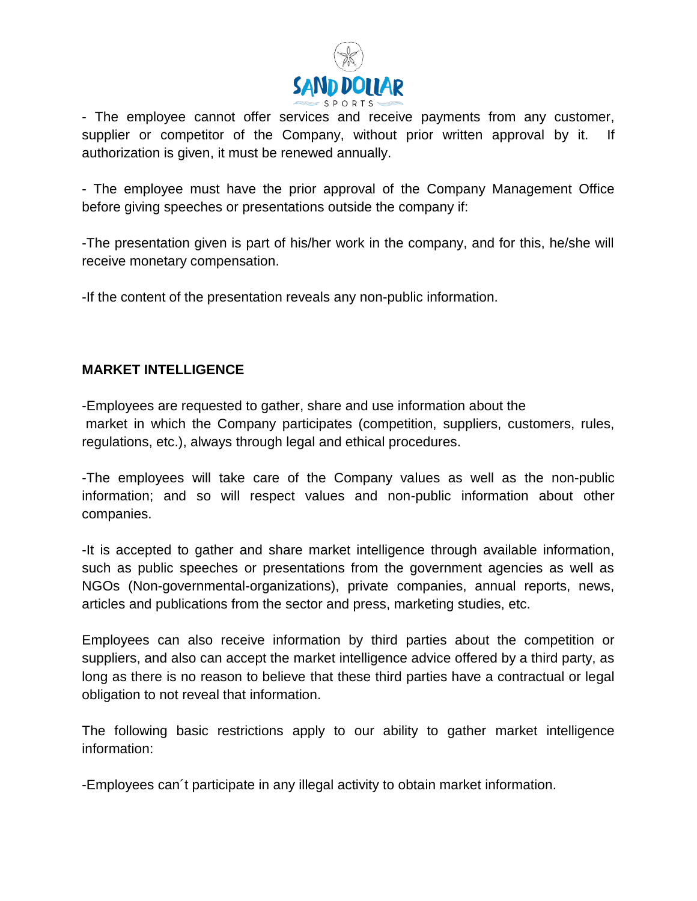

- The employee cannot offer services and receive payments from any customer, supplier or competitor of the Company, without prior written approval by it. If authorization is given, it must be renewed annually.

- The employee must have the prior approval of the Company Management Office before giving speeches or presentations outside the company if:

-The presentation given is part of his/her work in the company, and for this, he/she will receive monetary compensation.

-If the content of the presentation reveals any non-public information.

## **MARKET INTELLIGENCE**

-Employees are requested to gather, share and use information about the market in which the Company participates (competition, suppliers, customers, rules, regulations, etc.), always through legal and ethical procedures.

-The employees will take care of the Company values as well as the non-public information; and so will respect values and non-public information about other companies.

-It is accepted to gather and share market intelligence through available information, such as public speeches or presentations from the government agencies as well as NGOs (Non-governmental-organizations), private companies, annual reports, news, articles and publications from the sector and press, marketing studies, etc.

Employees can also receive information by third parties about the competition or suppliers, and also can accept the market intelligence advice offered by a third party, as long as there is no reason to believe that these third parties have a contractual or legal obligation to not reveal that information.

The following basic restrictions apply to our ability to gather market intelligence information:

-Employees can´t participate in any illegal activity to obtain market information.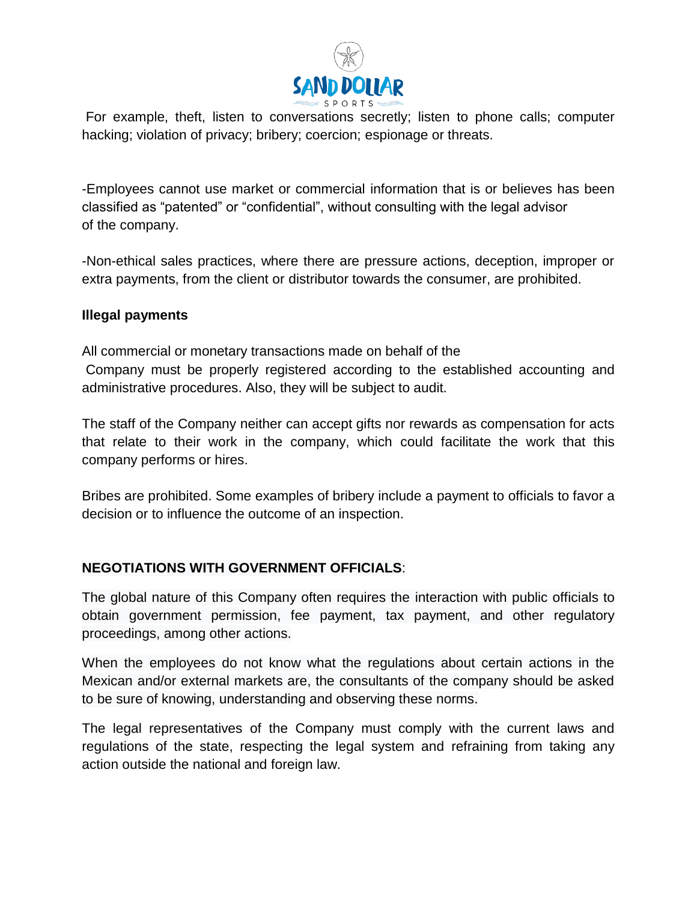

For example, theft, listen to conversations secretly; listen to phone calls; computer hacking; violation of privacy; bribery; coercion; espionage or threats.

-Employees cannot use market or commercial information that is or believes has been classified as "patented" or "confidential", without consulting with the legal advisor of the company.

-Non-ethical sales practices, where there are pressure actions, deception, improper or extra payments, from the client or distributor towards the consumer, are prohibited.

### **Illegal payments**

All commercial or monetary transactions made on behalf of the Company must be properly registered according to the established accounting and administrative procedures. Also, they will be subject to audit.

The staff of the Company neither can accept gifts nor rewards as compensation for acts that relate to their work in the company, which could facilitate the work that this company performs or hires.

Bribes are prohibited. Some examples of bribery include a payment to officials to favor a decision or to influence the outcome of an inspection.

## **NEGOTIATIONS WITH GOVERNMENT OFFICIALS**:

The global nature of this Company often requires the interaction with public officials to obtain government permission, fee payment, tax payment, and other regulatory proceedings, among other actions.

When the employees do not know what the regulations about certain actions in the Mexican and/or external markets are, the consultants of the company should be asked to be sure of knowing, understanding and observing these norms.

The legal representatives of the Company must comply with the current laws and regulations of the state, respecting the legal system and refraining from taking any action outside the national and foreign law.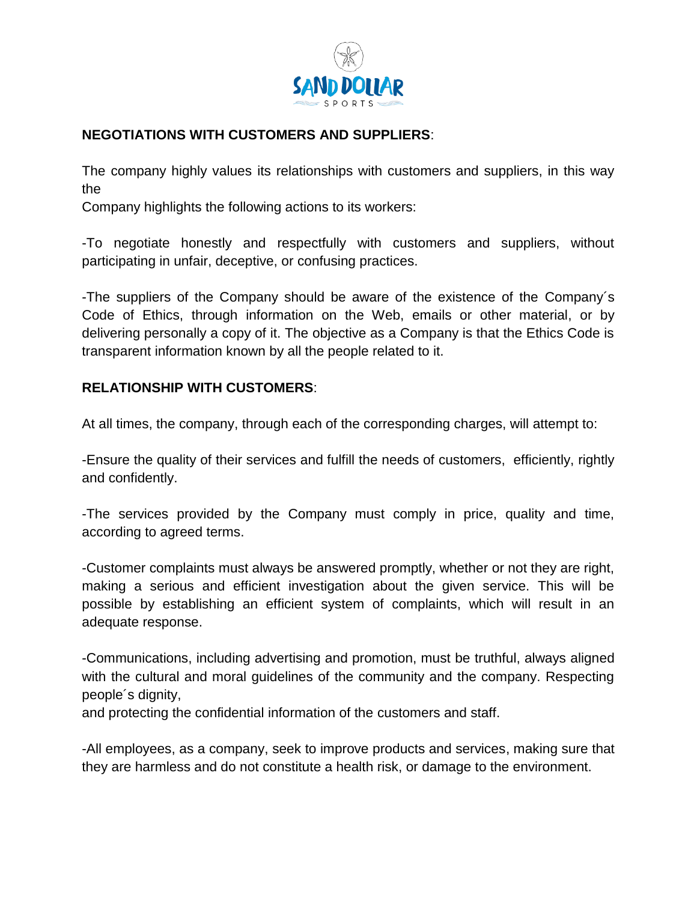

# **NEGOTIATIONS WITH CUSTOMERS AND SUPPLIERS**:

The company highly values its relationships with customers and suppliers, in this way the

Company highlights the following actions to its workers:

-To negotiate honestly and respectfully with customers and suppliers, without participating in unfair, deceptive, or confusing practices.

-The suppliers of the Company should be aware of the existence of the Company´s Code of Ethics, through information on the Web, emails or other material, or by delivering personally a copy of it. The objective as a Company is that the Ethics Code is transparent information known by all the people related to it.

## **RELATIONSHIP WITH CUSTOMERS**:

At all times, the company, through each of the corresponding charges, will attempt to:

-Ensure the quality of their services and fulfill the needs of customers, efficiently, rightly and confidently.

-The services provided by the Company must comply in price, quality and time, according to agreed terms.

-Customer complaints must always be answered promptly, whether or not they are right, making a serious and efficient investigation about the given service. This will be possible by establishing an efficient system of complaints, which will result in an adequate response.

-Communications, including advertising and promotion, must be truthful, always aligned with the cultural and moral quidelines of the community and the company. Respecting people´s dignity,

and protecting the confidential information of the customers and staff.

-All employees, as a company, seek to improve products and services, making sure that they are harmless and do not constitute a health risk, or damage to the environment.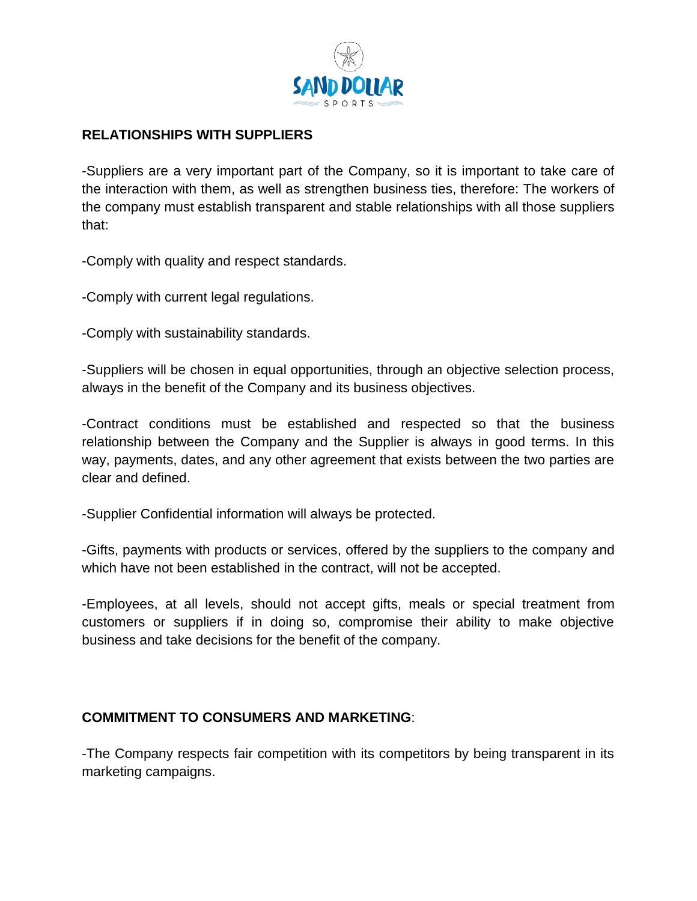

## **RELATIONSHIPS WITH SUPPLIERS**

-Suppliers are a very important part of the Company, so it is important to take care of the interaction with them, as well as strengthen business ties, therefore: The workers of the company must establish transparent and stable relationships with all those suppliers that:

-Comply with quality and respect standards.

-Comply with current legal regulations.

-Comply with sustainability standards.

-Suppliers will be chosen in equal opportunities, through an objective selection process, always in the benefit of the Company and its business objectives.

-Contract conditions must be established and respected so that the business relationship between the Company and the Supplier is always in good terms. In this way, payments, dates, and any other agreement that exists between the two parties are clear and defined.

-Supplier Confidential information will always be protected.

-Gifts, payments with products or services, offered by the suppliers to the company and which have not been established in the contract, will not be accepted.

-Employees, at all levels, should not accept gifts, meals or special treatment from customers or suppliers if in doing so, compromise their ability to make objective business and take decisions for the benefit of the company.

#### **COMMITMENT TO CONSUMERS AND MARKETING**:

-The Company respects fair competition with its competitors by being transparent in its marketing campaigns.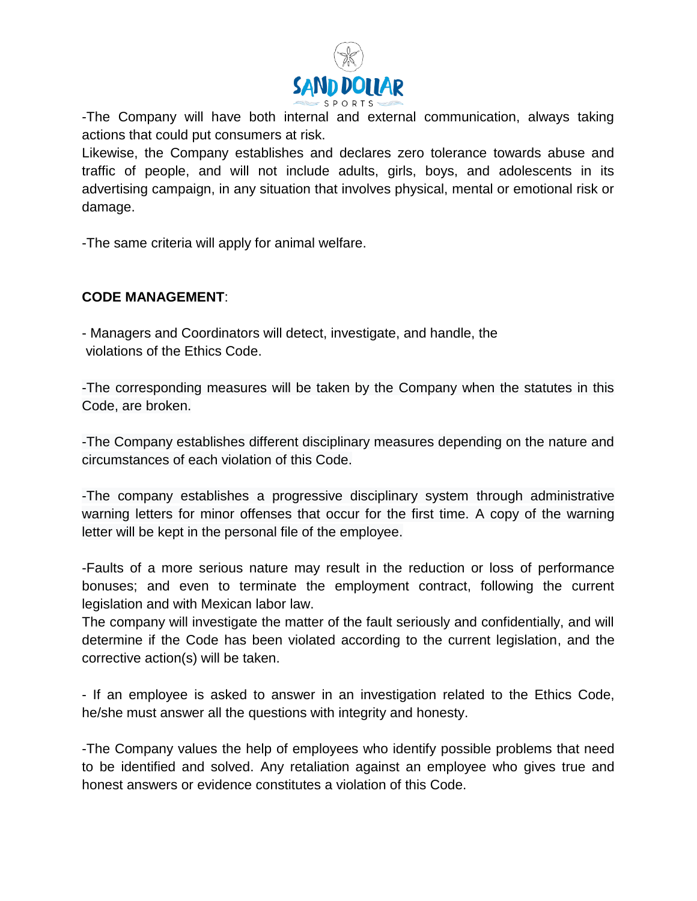

-The Company will have both internal and external communication, always taking actions that could put consumers at risk.

Likewise, the Company establishes and declares zero tolerance towards abuse and traffic of people, and will not include adults, girls, boys, and adolescents in its advertising campaign, in any situation that involves physical, mental or emotional risk or damage.

-The same criteria will apply for animal welfare.

### **CODE MANAGEMENT**:

- Managers and Coordinators will detect, investigate, and handle, the violations of the Ethics Code.

-The corresponding measures will be taken by the Company when the statutes in this Code, are broken.

-The Company establishes different disciplinary measures depending on the nature and circumstances of each violation of this Code.

-The company establishes a progressive disciplinary system through administrative warning letters for minor offenses that occur for the first time. A copy of the warning letter will be kept in the personal file of the employee.

-Faults of a more serious nature may result in the reduction or loss of performance bonuses; and even to terminate the employment contract, following the current legislation and with Mexican labor law.

The company will investigate the matter of the fault seriously and confidentially, and will determine if the Code has been violated according to the current legislation, and the corrective action(s) will be taken.

- If an employee is asked to answer in an investigation related to the Ethics Code, he/she must answer all the questions with integrity and honesty.

-The Company values the help of employees who identify possible problems that need to be identified and solved. Any retaliation against an employee who gives true and honest answers or evidence constitutes a violation of this Code.